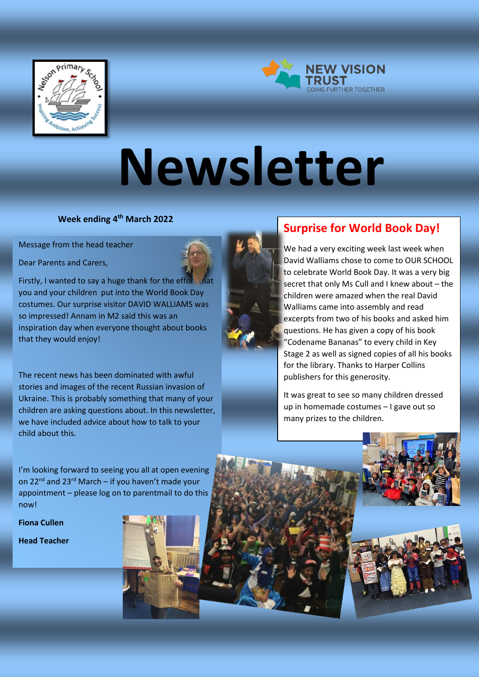



# **Newsletter**

**Week ending 4th March 2022**

Message from the head teacher

Dear Parents and Carers,



Firstly, I wanted to say a huge thank for the effort that you and your children put into the World Book Day costumes. Our surprise visitor DAVID WALLIAMS was so impressed! Annam in M2 said this was an inspiration day when everyone thought about books that they would enjoy!

The recent news has been dominated with awful stories and images of the recent Russian invasion of Ukraine. This is probably something that many of your children are asking questions about. In this newsletter, we have included advice about how to talk to your child about this.

## **Surprise for World Book Day!**

We had a very exciting week last week when David Walliams chose to come to OUR SCHOOL to celebrate World Book Day. It was a very big secret that only Ms Cull and I knew about – the children were amazed when the real David Walliams came into assembly and read excerpts from two of his books and asked him questions. He has given a copy of his book "Codename Bananas" to every child in Key Stage 2 as well as signed copies of all his books for the library. Thanks to Harper Collins publishers for this generosity.

It was great to see so many children dressed up in homemade costumes – I gave out so many prizes to the children.

I'm looking forward to seeing you all at open evening on 22 $^{nd}$  and 23 $^{rd}$  March – if you haven't made your appointment – please log on to parentmail to do this now!

**Fiona Cullen** 

**Head Teacher**



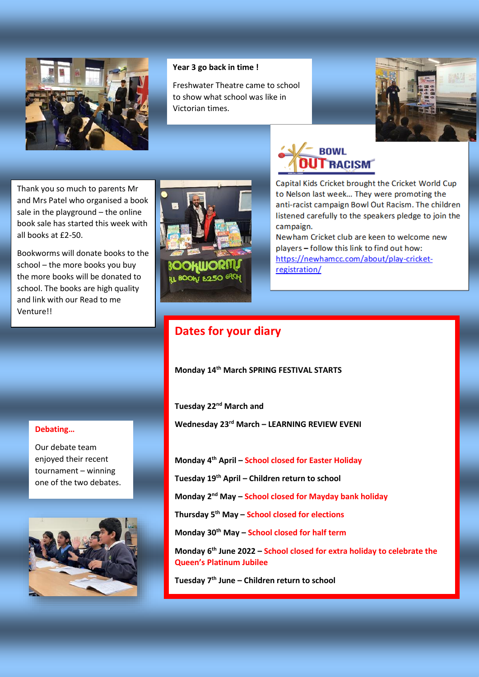

#### **Year 3 go back in time !**

Freshwater Theatre came to school to show what school was like in Victorian times.



Thank you so much to parents Mr and Mrs Patel who organised a book sale in the playground – the online book sale has started this week with all books at £2-50.

Bookworms will donate books to the school – the more books you buy the more books will be donated to school. The books are high quality and link with our Read to me Venture!!



Capital Kids Cricket brought the Cricket World Cup to Nelson last week... They were promoting the anti-racist campaign Bowl Out Racism. The children listened carefully to the speakers pledge to join the campaign.

**BOWL** 

TRACISM

Newham Cricket club are keen to welcome new players - follow this link to find out how: https://newhamcc.com/about/play-cricketregistration/

### **Dates for your diary**

**Monday 14th March SPRING FESTIVAL STARTS**

**Tuesday 22nd March and**

**Wednesday 23rd March – LEARNING REVIEW EVENI**

**Monday 4th April – School closed for Easter Holiday** 

**Tuesday 19th April – Children return to school**

**Monday 2nd May – School closed for Mayday bank holiday**

**Thursday 5th May – School closed for elections**

**Monday 30th May – School closed for half term**

**Monday 6th June 2022 – School closed for extra holiday to celebrate the Queen's Platinum Jubilee**

**Tuesday 7th June – Children return to school**

#### **Debating…**

Our debate team enjoyed their recent tournament – winning one of the two debates.